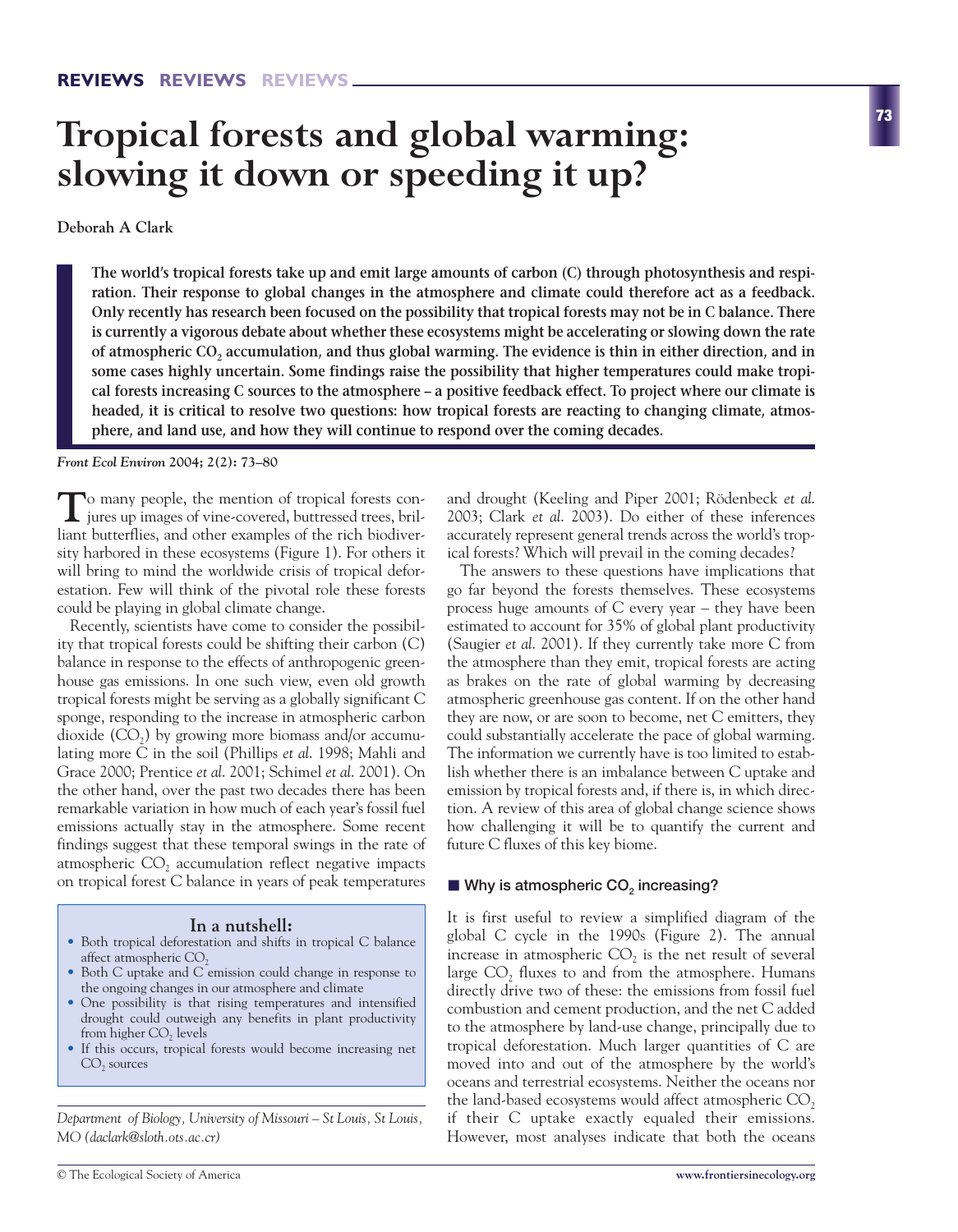# **Tropical forests and global warming: slowing it down or speeding it up?**

**Deborah A Clark** 

**The world's tropical forests take up and emit large amounts of carbon (C) through photosynthesis and respiration. Their response to global changes in the atmosphere and climate could therefore act as a feedback. Only recently has research been focused on the possibility that tropical forests may not be in C balance. There is currently a vigorous debate about whether these ecosystems might be accelerating or slowing down the rate of atmospheric CO2 accumulation, and thus global warming. The evidence is thin in either direction, and in some cases highly uncertain. Some findings raise the possibility that higher temperatures could make tropical forests increasing C sources to the atmosphere – a positive feedback effect. To project where our climate is headed, it is critical to resolve two questions: how tropical forests are reacting to changing climate, atmosphere, and land use, and how they will continue to respond over the coming decades.**

*Front Ecol Environ* **2004; 2(2): 73–80**

**T**o many people, the mention of tropical forests conjures up images of vine-covered, buttressed trees, brilliant butterflies, and other examples of the rich biodiversity harbored in these ecosystems (Figure 1). For others it will bring to mind the worldwide crisis of tropical deforestation. Few will think of the pivotal role these forests could be playing in global climate change.

Recently, scientists have come to consider the possibility that tropical forests could be shifting their carbon (C) balance in response to the effects of anthropogenic greenhouse gas emissions. In one such view, even old growth tropical forests might be serving as a globally significant C sponge, responding to the increase in atmospheric carbon dioxide  $(CO<sub>2</sub>)$  by growing more biomass and/or accumulating more C in the soil (Phillips *et al*. 1998; Mahli and Grace 2000; Prentice *et al*. 2001; Schimel *et al*. 2001). On the other hand, over the past two decades there has been remarkable variation in how much of each year's fossil fuel emissions actually stay in the atmosphere. Some recent findings suggest that these temporal swings in the rate of atmospheric  $CO<sub>2</sub>$  accumulation reflect negative impacts on tropical forest C balance in years of peak temperatures

#### **In a nutshell:**

- Both tropical deforestation and shifts in tropical C balance affect atmospheric CO<sub>2</sub>
- Both C uptake and C emission could change in response to the ongoing changes in our atmosphere and climate
- One possibility is that rising temperatures and intensified drought could outweigh any benefits in plant productivity from higher  $CO<sub>2</sub>$  levels
- If this occurs, tropical forests would become increasing net CO<sub>2</sub> sources

*Department of Biology, University of Missouri – St Louis, St Louis, MO (daclark@sloth.ots.ac.cr)*

and drought (Keeling and Piper 2001; Rödenbeck *et al*. 2003; Clark *et al*. 2003). Do either of these inferences accurately represent general trends across the world's tropical forests? Which will prevail in the coming decades?

The answers to these questions have implications that go far beyond the forests themselves. These ecosystems process huge amounts of C every year – they have been estimated to account for 35% of global plant productivity (Saugier *et al*. 2001). If they currently take more C from the atmosphere than they emit, tropical forests are acting as brakes on the rate of global warming by decreasing atmospheric greenhouse gas content. If on the other hand they are now, or are soon to become, net C emitters, they could substantially accelerate the pace of global warming. The information we currently have is too limited to establish whether there is an imbalance between C uptake and emission by tropical forests and, if there is, in which direction. A review of this area of global change science shows how challenging it will be to quantify the current and future C fluxes of this key biome.

# ■ Why is atmospheric CO<sub>2</sub> increasing?

It is first useful to review a simplified diagram of the global C cycle in the 1990s (Figure 2). The annual increase in atmospheric  $CO<sub>2</sub>$  is the net result of several large  $CO<sub>2</sub>$  fluxes to and from the atmosphere. Humans directly drive two of these: the emissions from fossil fuel combustion and cement production, and the net C added to the atmosphere by land-use change, principally due to tropical deforestation. Much larger quantities of C are moved into and out of the atmosphere by the world's oceans and terrestrial ecosystems. Neither the oceans nor the land-based ecosystems would affect atmospheric  $CO<sub>2</sub>$ if their C uptake exactly equaled their emissions. However, most analyses indicate that both the oceans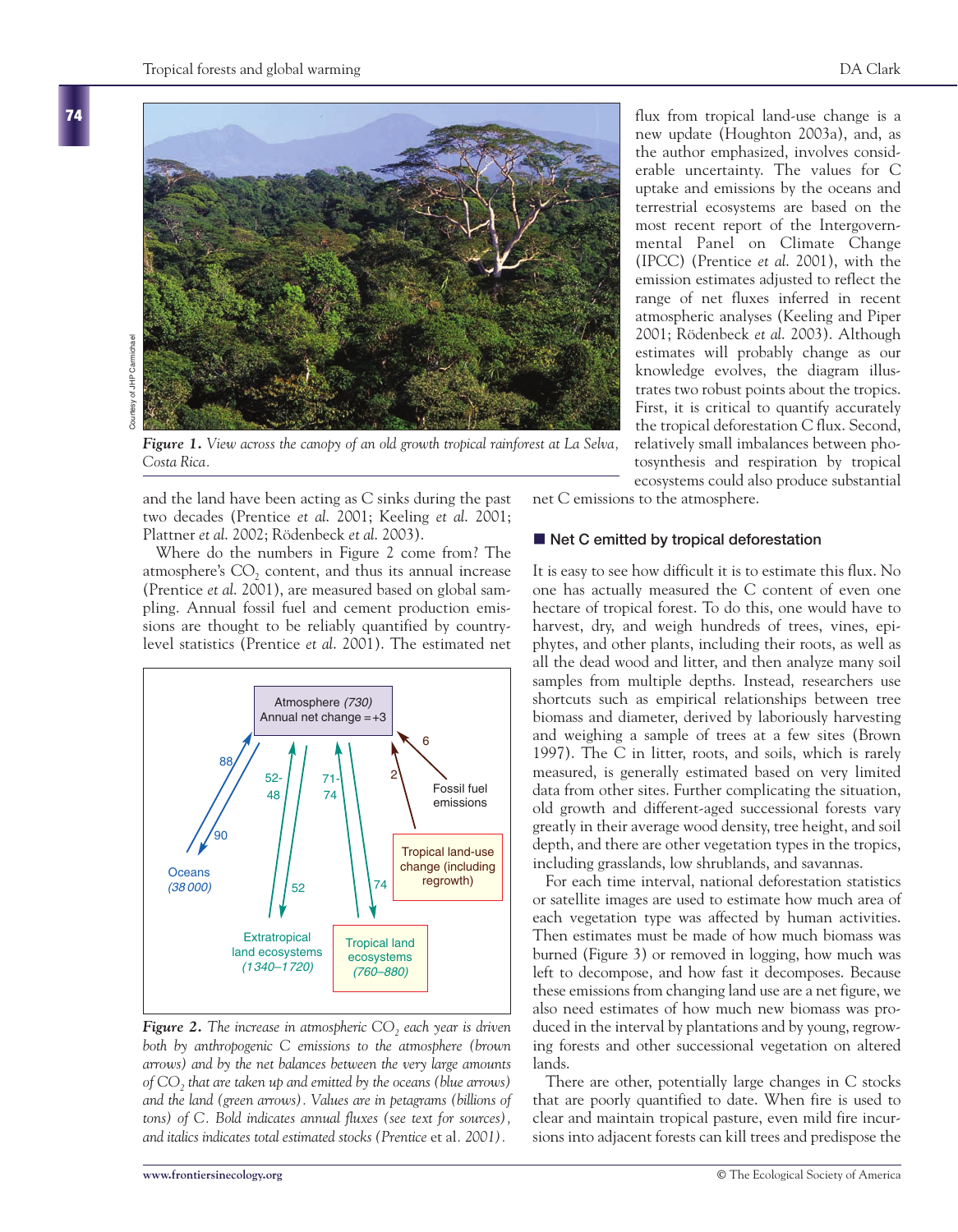

flux from tropical land-use change is a new update (Houghton 2003a), and, as the author emphasized, involves considerable uncertainty. The values for C uptake and emissions by the oceans and terrestrial ecosystems are based on the most recent report of the Intergovernmental Panel on Climate Change (IPCC) (Prentice *et al*. 2001), with the emission estimates adjusted to reflect the range of net fluxes inferred in recent atmospheric analyses (Keeling and Piper 2001; Rödenbeck *et al*. 2003). Although estimates will probably change as our knowledge evolves, the diagram illustrates two robust points about the tropics. First, it is critical to quantify accurately the tropical deforestation C flux. Second, relatively small imbalances between photosynthesis and respiration by tropical ecosystems could also produce substantial

*Figure 1. View across the canopy of an old growth tropical rainforest at La Selva, Costa Rica.*

and the land have been acting as C sinks during the past two decades (Prentice *et al*. 2001; Keeling *et al*. 2001; Plattner *et al*. 2002; Rödenbeck *et al*. 2003).

Where do the numbers in Figure 2 come from? The atmosphere's CO<sub>2</sub> content, and thus its annual increase (Prentice *et al*. 2001), are measured based on global sampling. Annual fossil fuel and cement production emissions are thought to be reliably quantified by countrylevel statistics (Prentice *et al*. 2001). The estimated net



*Figure 2. The increase in atmospheric CO<sub>2</sub> each year is driven both by anthropogenic C emissions to the atmosphere (brown arrows) and by the net balances between the very large amounts of CO2 that are taken up and emitted by the oceans (blue arrows) and the land (green arrows). Values are in petagrams (billions of tons) of C. Bold indicates annual fluxes (see text for sources), and italics indicates total estimated stocks (Prentice* et al*. 2001).*

net C emissions to the atmosphere.

# ■ Net C emitted by tropical deforestation

It is easy to see how difficult it is to estimate this flux. No one has actually measured the C content of even one hectare of tropical forest. To do this, one would have to harvest, dry, and weigh hundreds of trees, vines, epiphytes, and other plants, including their roots, as well as all the dead wood and litter, and then analyze many soil samples from multiple depths. Instead, researchers use shortcuts such as empirical relationships between tree biomass and diameter, derived by laboriously harvesting and weighing a sample of trees at a few sites (Brown 1997). The C in litter, roots, and soils, which is rarely measured, is generally estimated based on very limited data from other sites. Further complicating the situation, old growth and different-aged successional forests vary greatly in their average wood density, tree height, and soil depth, and there are other vegetation types in the tropics, including grasslands, low shrublands, and savannas.

For each time interval, national deforestation statistics or satellite images are used to estimate how much area of each vegetation type was affected by human activities. Then estimates must be made of how much biomass was burned (Figure 3) or removed in logging, how much was left to decompose, and how fast it decomposes. Because these emissions from changing land use are a net figure, we also need estimates of how much new biomass was produced in the interval by plantations and by young, regrowing forests and other successional vegetation on altered lands.

There are other, potentially large changes in C stocks that are poorly quantified to date. When fire is used to clear and maintain tropical pasture, even mild fire incursions into adjacent forests can kill trees and predispose the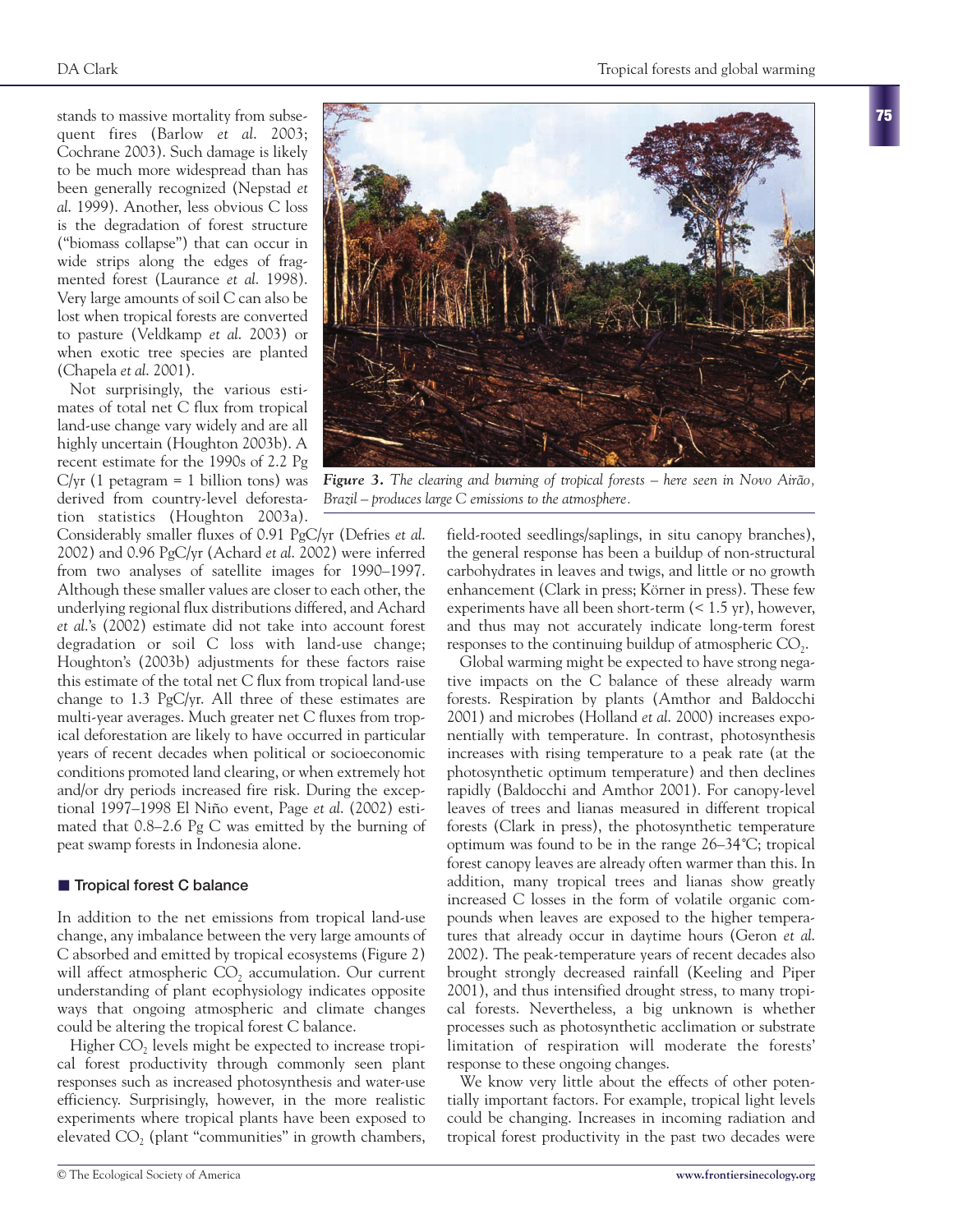**75**

stands to massive mortality from subsequent fires (Barlow *et al*. 2003; Cochrane 2003). Such damage is likely to be much more widespread than has been generally recognized (Nepstad *et al*. 1999). Another, less obvious C loss is the degradation of forest structure ("biomass collapse") that can occur in wide strips along the edges of fragmented forest (Laurance *et al*. 1998). Very large amounts of soil C can also be lost when tropical forests are converted to pasture (Veldkamp *et al*. 2003) or when exotic tree species are planted (Chapela *et al*. 2001).

Not surprisingly, the various estimates of total net C flux from tropical land-use change vary widely and are all highly uncertain (Houghton 2003b). A recent estimate for the 1990s of 2.2 Pg  $C/yr$  (1 petagram = 1 billion tons) was derived from country-level deforestation statistics (Houghton 2003a).



*Figure 3. The clearing and burning of tropical forests – here seen in Novo Airão, Brazil – produces large C emissions to the atmosphere.*

Considerably smaller fluxes of 0.91 PgC/yr (Defries *et al*. 2002) and 0.96 PgC/yr (Achard *et al*. 2002) were inferred from two analyses of satellite images for 1990–1997. Although these smaller values are closer to each other, the underlying regional flux distributions differed, and Achard *et al*.'s (2002) estimate did not take into account forest degradation or soil C loss with land-use change; Houghton's (2003b) adjustments for these factors raise this estimate of the total net C flux from tropical land-use change to 1.3 PgC/yr. All three of these estimates are multi-year averages. Much greater net C fluxes from tropical deforestation are likely to have occurred in particular years of recent decades when political or socioeconomic conditions promoted land clearing, or when extremely hot and/or dry periods increased fire risk. During the exceptional 1997–1998 El Niño event, Page *et al*. (2002) estimated that 0.8–2.6 Pg C was emitted by the burning of peat swamp forests in Indonesia alone.

## $\blacksquare$  **Tropical forest C balance**

In addition to the net emissions from tropical land-use change, any imbalance between the very large amounts of C absorbed and emitted by tropical ecosystems (Figure 2) will affect atmospheric  $CO<sub>2</sub>$  accumulation. Our current understanding of plant ecophysiology indicates opposite ways that ongoing atmospheric and climate changes could be altering the tropical forest C balance.

Higher  $CO<sub>2</sub>$  levels might be expected to increase tropical forest productivity through commonly seen plant responses such as increased photosynthesis and water-use efficiency. Surprisingly, however, in the more realistic experiments where tropical plants have been exposed to elevated  $CO<sub>2</sub>$  (plant "communities" in growth chambers,

field-rooted seedlings/saplings, in situ canopy branches), the general response has been a buildup of non-structural carbohydrates in leaves and twigs, and little or no growth enhancement (Clark in press; Körner in press). These few experiments have all been short-term (< 1.5 yr), however, and thus may not accurately indicate long-term forest responses to the continuing buildup of atmospheric  $CO<sub>2</sub>$ .

Global warming might be expected to have strong negative impacts on the C balance of these already warm forests. Respiration by plants (Amthor and Baldocchi 2001) and microbes (Holland *et al*. 2000) increases exponentially with temperature. In contrast, photosynthesis increases with rising temperature to a peak rate (at the photosynthetic optimum temperature) and then declines rapidly (Baldocchi and Amthor 2001). For canopy-level leaves of trees and lianas measured in different tropical forests (Clark in press), the photosynthetic temperature optimum was found to be in the range 26–34˚C; tropical forest canopy leaves are already often warmer than this. In addition, many tropical trees and lianas show greatly increased C losses in the form of volatile organic compounds when leaves are exposed to the higher temperatures that already occur in daytime hours (Geron *et al*. 2002). The peak-temperature years of recent decades also brought strongly decreased rainfall (Keeling and Piper 2001), and thus intensified drought stress, to many tropical forests. Nevertheless, a big unknown is whether processes such as photosynthetic acclimation or substrate limitation of respiration will moderate the forests' response to these ongoing changes.

We know very little about the effects of other potentially important factors. For example, tropical light levels could be changing. Increases in incoming radiation and tropical forest productivity in the past two decades were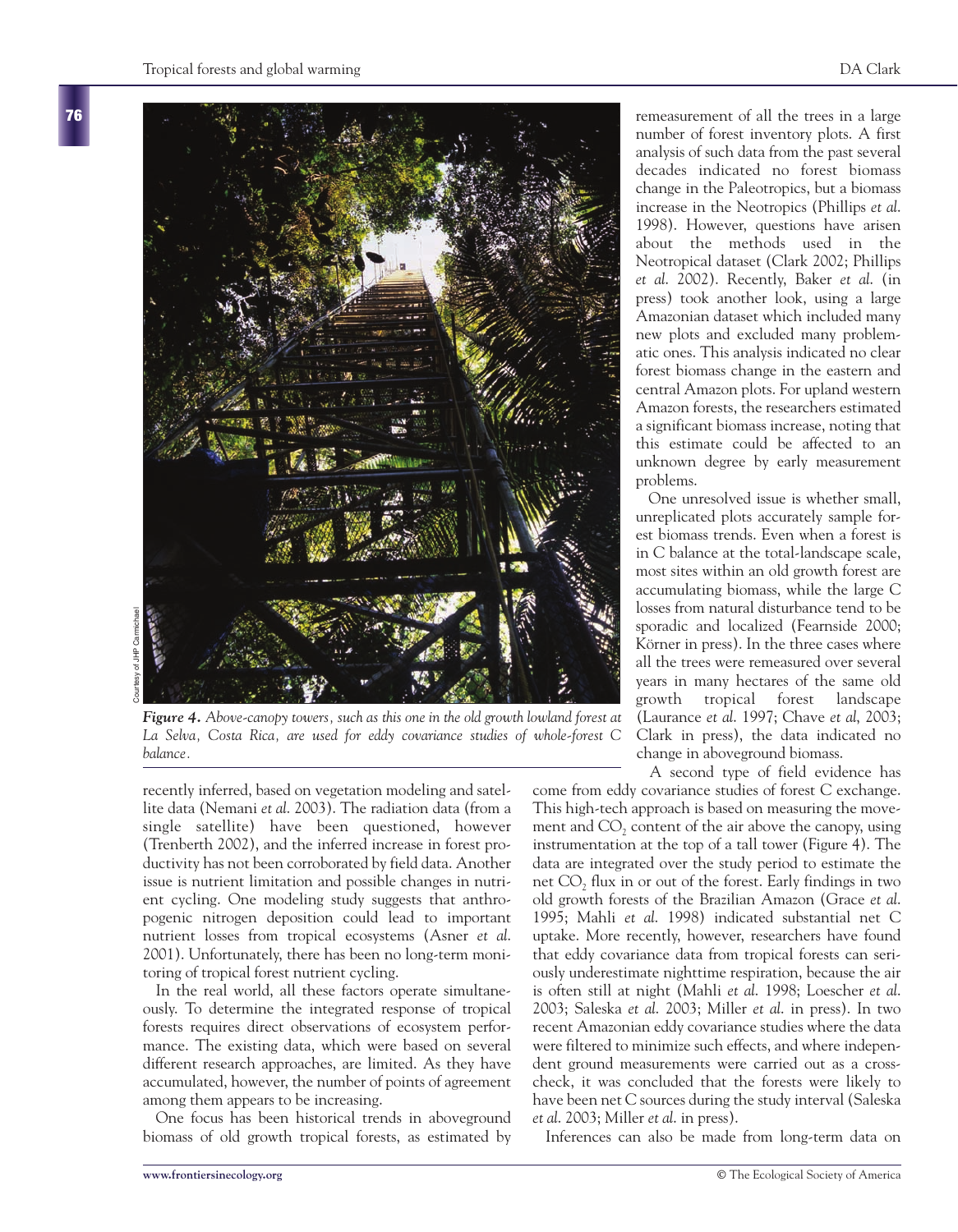

Courtesy of JHP Carmichael

**76**

*Figure 4. Above-canopy towers, such as this one in the old growth lowland forest at La Selva, Costa Rica, are used for eddy covariance studies of whole-forest C balance.*

recently inferred, based on vegetation modeling and satellite data (Nemani *et al*. 2003). The radiation data (from a single satellite) have been questioned, however (Trenberth 2002), and the inferred increase in forest productivity has not been corroborated by field data. Another issue is nutrient limitation and possible changes in nutrient cycling. One modeling study suggests that anthropogenic nitrogen deposition could lead to important nutrient losses from tropical ecosystems (Asner *et al*. 2001). Unfortunately, there has been no long-term monitoring of tropical forest nutrient cycling.

In the real world, all these factors operate simultaneously. To determine the integrated response of tropical forests requires direct observations of ecosystem performance. The existing data, which were based on several different research approaches, are limited. As they have accumulated, however, the number of points of agreement among them appears to be increasing.

One focus has been historical trends in aboveground biomass of old growth tropical forests, as estimated by remeasurement of all the trees in a large number of forest inventory plots. A first analysis of such data from the past several decades indicated no forest biomass change in the Paleotropics, but a biomass increase in the Neotropics (Phillips *et al*. 1998). However, questions have arisen about the methods used in the Neotropical dataset (Clark 2002; Phillips *et al*. 2002). Recently, Baker *et al*. (in press) took another look, using a large Amazonian dataset which included many new plots and excluded many problematic ones. This analysis indicated no clear forest biomass change in the eastern and central Amazon plots. For upland western Amazon forests, the researchers estimated a significant biomass increase, noting that this estimate could be affected to an unknown degree by early measurement problems.

One unresolved issue is whether small, unreplicated plots accurately sample forest biomass trends. Even when a forest is in C balance at the total-landscape scale, most sites within an old growth forest are accumulating biomass, while the large C losses from natural disturbance tend to be sporadic and localized (Fearnside 2000; Körner in press). In the three cases where all the trees were remeasured over several years in many hectares of the same old growth tropical forest landscape (Laurance *et al*. 1997; Chave *et al*, 2003; Clark in press), the data indicated no change in aboveground biomass.

A second type of field evidence has

come from eddy covariance studies of forest C exchange. This high-tech approach is based on measuring the movement and  $CO<sub>2</sub>$  content of the air above the canopy, using instrumentation at the top of a tall tower (Figure 4). The data are integrated over the study period to estimate the net  $CO<sub>2</sub>$  flux in or out of the forest. Early findings in two old growth forests of the Brazilian Amazon (Grace *et al*. 1995; Mahli *et al*. 1998) indicated substantial net C uptake. More recently, however, researchers have found that eddy covariance data from tropical forests can seriously underestimate nighttime respiration, because the air is often still at night (Mahli *et al*. 1998; Loescher *et al*. 2003; Saleska *et al*. 2003; Miller *et al*. in press). In two recent Amazonian eddy covariance studies where the data were filtered to minimize such effects, and where independent ground measurements were carried out as a crosscheck, it was concluded that the forests were likely to have been net C sources during the study interval (Saleska *et al*. 2003; Miller *et al*. in press).

Inferences can also be made from long-term data on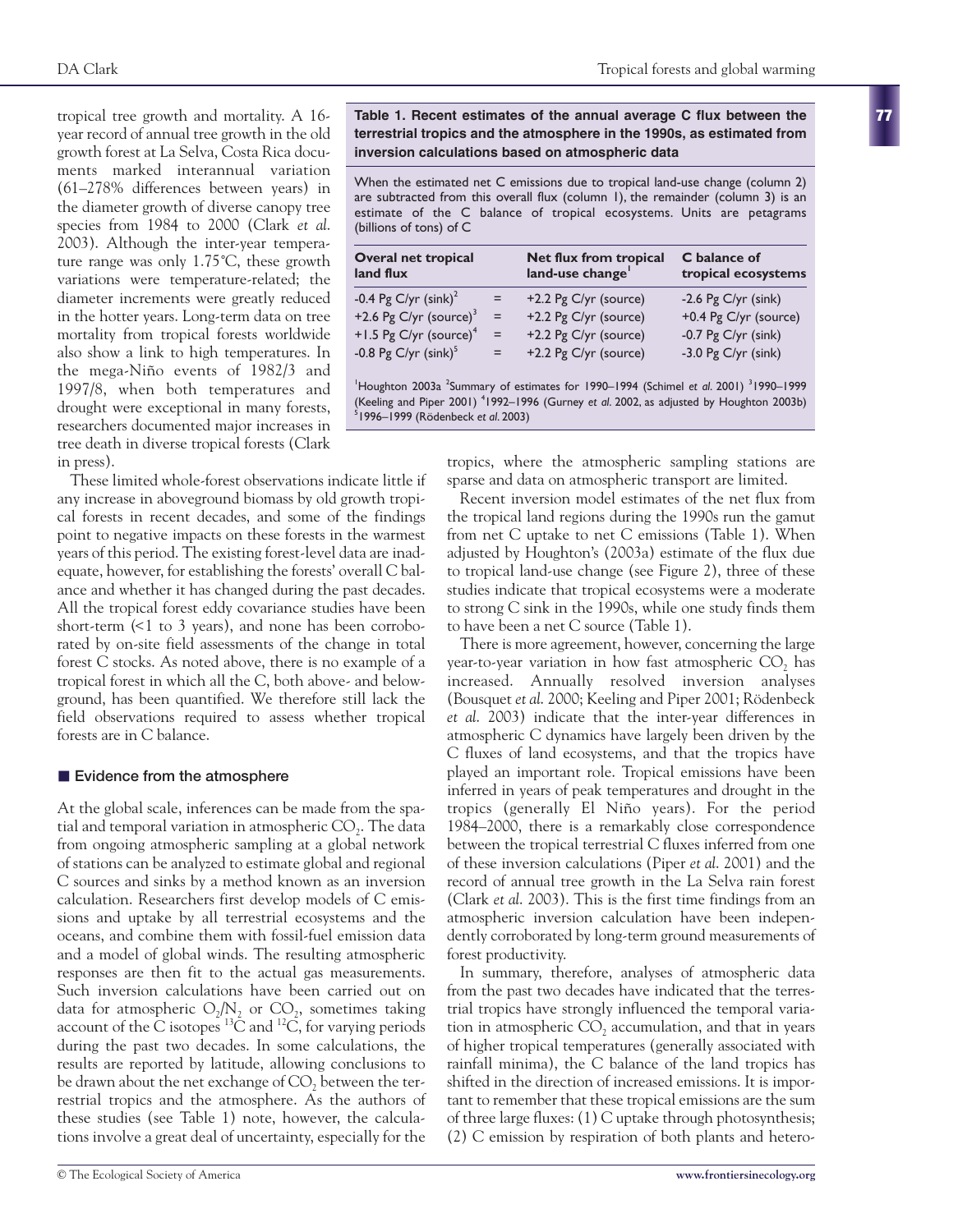tropical tree growth and mortality. A 16 year record of annual tree growth in the old growth forest at La Selva, Costa Rica documents marked interannual variation (61–278% differences between years) in the diameter growth of diverse canopy tree species from 1984 to 2000 (Clark *et al*. 2003). Although the inter-year temperature range was only 1.75˚C, these growth variations were temperature-related; the diameter increments were greatly reduced in the hotter years. Long-term data on tree mortality from tropical forests worldwide also show a link to high temperatures. In the mega-Niño events of 1982/3 and 1997/8, when both temperatures and drought were exceptional in many forests, researchers documented major increases in tree death in diverse tropical forests (Clark in press).

These limited whole-forest observations indicate little if any increase in aboveground biomass by old growth tropical forests in recent decades, and some of the findings point to negative impacts on these forests in the warmest years of this period. The existing forest-level data are inadequate, however, for establishing the forests' overall C balance and whether it has changed during the past decades. All the tropical forest eddy covariance studies have been short-term (<1 to 3 years), and none has been corroborated by on-site field assessments of the change in total forest C stocks. As noted above, there is no example of a tropical forest in which all the C, both above- and belowground, has been quantified. We therefore still lack the field observations required to assess whether tropical forests are in C balance.

# **Exidence from the atmosphere**

At the global scale, inferences can be made from the spatial and temporal variation in atmospheric  $CO<sub>2</sub>$ . The data from ongoing atmospheric sampling at a global network of stations can be analyzed to estimate global and regional C sources and sinks by a method known as an inversion calculation. Researchers first develop models of C emissions and uptake by all terrestrial ecosystems and the oceans, and combine them with fossil-fuel emission data and a model of global winds. The resulting atmospheric responses are then fit to the actual gas measurements. Such inversion calculations have been carried out on data for atmospheric  $O_2/N_2$  or  $CO_2$ , sometimes taking account of the C isotopes  $^{13}$ C and  $^{12}$ C, for varying periods during the past two decades. In some calculations, the results are reported by latitude, allowing conclusions to be drawn about the net exchange of  $CO<sub>2</sub>$  between the terrestrial tropics and the atmosphere. As the authors of these studies (see Table 1) note, however, the calculations involve a great deal of uncertainty, especially for the

**Table 1. Recent estimates of the annual average C flux between the terrestrial tropics and the atmosphere in the 1990s, as estimated from inversion calculations based on atmospheric data**

When the estimated net C emissions due to tropical land-use change (column 2) are subtracted from this overall flux (column 1), the remainder (column 3) is an estimate of the C balance of tropical ecosystems. Units are petagrams (billions of tons) of C

| <b>Overal net tropical</b><br>land flux |     | Net flux from tropical<br>land-use change <sup>1</sup> | C balance of<br>tropical ecosystems |
|-----------------------------------------|-----|--------------------------------------------------------|-------------------------------------|
| -0.4 Pg C/yr $(sink)^2$                 | $=$ | +2.2 Pg C/yr (source)<br>-2.6 $Pg$ C/yr (sink)         |                                     |
| +2.6 Pg C/yr (source) <sup>3</sup>      | $=$ | +2.2 Pg C/yr (source)                                  | +0.4 Pg C/yr (source)               |
| +1.5 Pg C/yr (source) <sup>4</sup>      | $=$ | +2.2 Pg C/yr (source)                                  | $-0.7$ Pg C/yr (sink)               |
| -0.8 Pg C/yr $(sink)^5$                 | $=$ | +2.2 Pg C/yr (source)                                  | $-3.0$ Pg C/yr (sink)               |

<sup>1</sup>Houghton 2003a <sup>2</sup>Summary of estimates for 1990–1994 (Schimel et al. 2001) <sup>3</sup>1990–1999 (Keeling and Piper 2001) <sup>4</sup>1992-1996 (Gurney et al. 2002, as adjusted by Houghton 2003b) 5 1996–1999 (Rödenbeck *et al*. 2003)

> tropics, where the atmospheric sampling stations are sparse and data on atmospheric transport are limited.

> Recent inversion model estimates of the net flux from the tropical land regions during the 1990s run the gamut from net C uptake to net C emissions (Table 1). When adjusted by Houghton's (2003a) estimate of the flux due to tropical land-use change (see Figure 2), three of these studies indicate that tropical ecosystems were a moderate to strong C sink in the 1990s, while one study finds them to have been a net C source (Table 1).

> There is more agreement, however, concerning the large year-to-year variation in how fast atmospheric  $CO<sub>2</sub>$  has increased. Annually resolved inversion analyses (Bousquet *et al*. 2000; Keeling and Piper 2001; Rödenbeck *et al*. 2003) indicate that the inter-year differences in atmospheric C dynamics have largely been driven by the C fluxes of land ecosystems, and that the tropics have played an important role. Tropical emissions have been inferred in years of peak temperatures and drought in the tropics (generally El Niño years). For the period 1984–2000, there is a remarkably close correspondence between the tropical terrestrial C fluxes inferred from one of these inversion calculations (Piper *et al*. 2001) and the record of annual tree growth in the La Selva rain forest (Clark *et al*. 2003). This is the first time findings from an atmospheric inversion calculation have been independently corroborated by long-term ground measurements of forest productivity.

> In summary, therefore, analyses of atmospheric data from the past two decades have indicated that the terrestrial tropics have strongly influenced the temporal variation in atmospheric  $CO<sub>2</sub>$  accumulation, and that in years of higher tropical temperatures (generally associated with rainfall minima), the C balance of the land tropics has shifted in the direction of increased emissions. It is important to remember that these tropical emissions are the sum of three large fluxes: (1) C uptake through photosynthesis; (2) C emission by respiration of both plants and hetero

**77**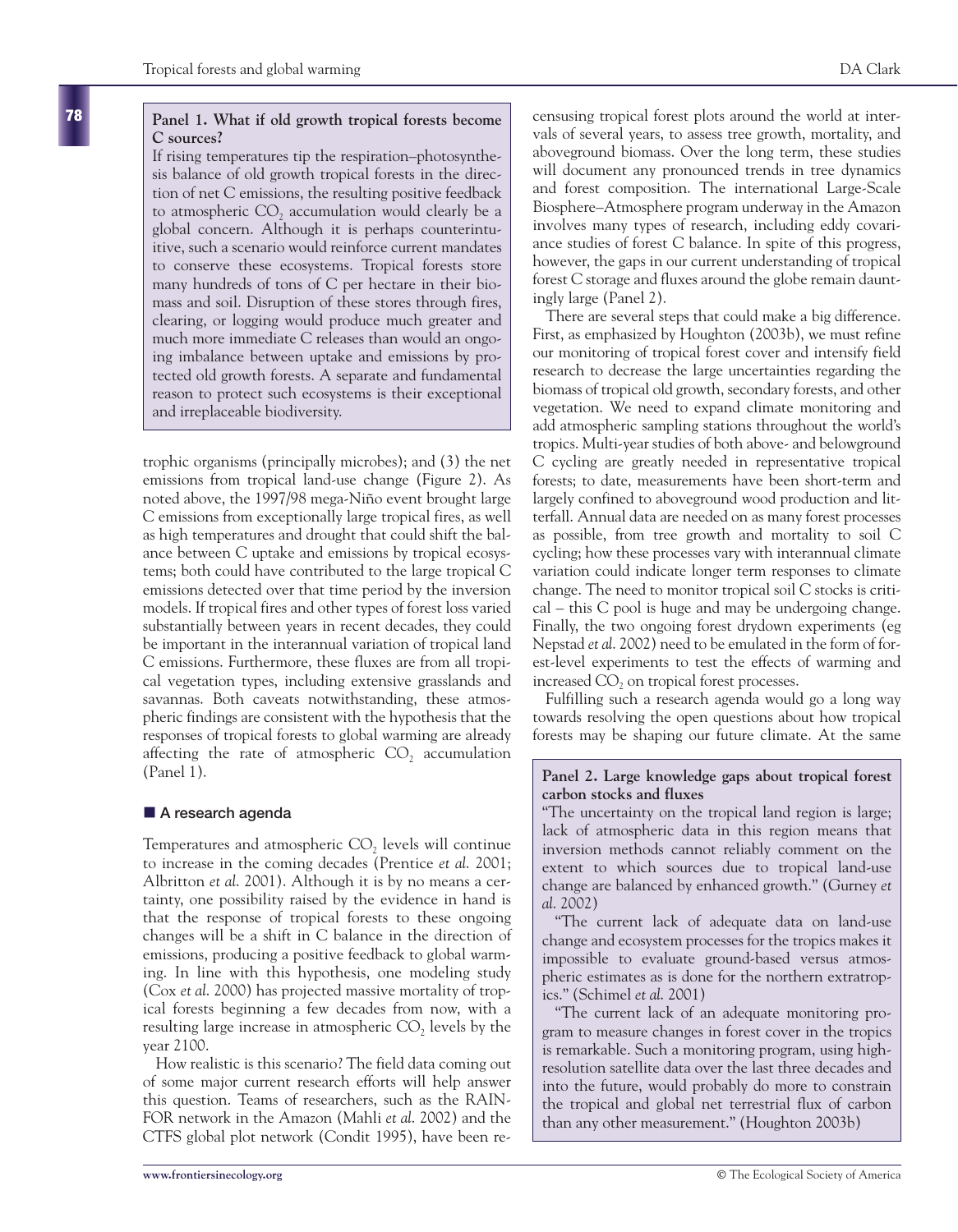#### **Panel 1. What if old growth tropical forests become C sources?**

If rising temperatures tip the respiration–photosynthesis balance of old growth tropical forests in the direction of net C emissions, the resulting positive feedback to atmospheric CO<sub>2</sub> accumulation would clearly be a global concern. Although it is perhaps counterintuitive, such a scenario would reinforce current mandates to conserve these ecosystems. Tropical forests store many hundreds of tons of C per hectare in their biomass and soil. Disruption of these stores through fires, clearing, or logging would produce much greater and much more immediate C releases than would an ongoing imbalance between uptake and emissions by protected old growth forests. A separate and fundamental reason to protect such ecosystems is their exceptional and irreplaceable biodiversity.

trophic organisms (principally microbes); and (3) the net emissions from tropical land-use change (Figure 2). As noted above, the 1997/98 mega-Niño event brought large C emissions from exceptionally large tropical fires, as well as high temperatures and drought that could shift the balance between C uptake and emissions by tropical ecosystems; both could have contributed to the large tropical C emissions detected over that time period by the inversion models. If tropical fires and other types of forest loss varied substantially between years in recent decades, they could be important in the interannual variation of tropical land C emissions. Furthermore, these fluxes are from all tropical vegetation types, including extensive grasslands and savannas. Both caveats notwithstanding, these atmospheric findings are consistent with the hypothesis that the responses of tropical forests to global warming are already affecting the rate of atmospheric  $CO$ <sub>2</sub> accumulation (Panel 1).

# - **A research agenda**

Temperatures and atmospheric  $CO<sub>2</sub>$  levels will continue to increase in the coming decades (Prentice *et al*. 2001; Albritton *et al*. 2001). Although it is by no means a certainty, one possibility raised by the evidence in hand is that the response of tropical forests to these ongoing changes will be a shift in C balance in the direction of emissions, producing a positive feedback to global warming. In line with this hypothesis, one modeling study (Cox *et al*. 2000) has projected massive mortality of tropical forests beginning a few decades from now, with a resulting large increase in atmospheric  $CO<sub>2</sub>$  levels by the year 2100.

How realistic is this scenario? The field data coming out of some major current research efforts will help answer this question. Teams of researchers, such as the RAIN-FOR network in the Amazon (Mahli *et al*. 2002) and the CTFS global plot network (Condit 1995), have been recensusing tropical forest plots around the world at intervals of several years, to assess tree growth, mortality, and aboveground biomass. Over the long term, these studies will document any pronounced trends in tree dynamics and forest composition. The international Large-Scale Biosphere–Atmosphere program underway in the Amazon involves many types of research, including eddy covariance studies of forest C balance. In spite of this progress, however, the gaps in our current understanding of tropical forest C storage and fluxes around the globe remain dauntingly large (Panel 2).

There are several steps that could make a big difference. First, as emphasized by Houghton (2003b), we must refine our monitoring of tropical forest cover and intensify field research to decrease the large uncertainties regarding the biomass of tropical old growth, secondary forests, and other vegetation. We need to expand climate monitoring and add atmospheric sampling stations throughout the world's tropics. Multi-year studies of both above- and belowground C cycling are greatly needed in representative tropical forests; to date, measurements have been short-term and largely confined to aboveground wood production and litterfall. Annual data are needed on as many forest processes as possible, from tree growth and mortality to soil C cycling; how these processes vary with interannual climate variation could indicate longer term responses to climate change. The need to monitor tropical soil C stocks is critical – this C pool is huge and may be undergoing change. Finally, the two ongoing forest drydown experiments (eg Nepstad *et al*. 2002) need to be emulated in the form of forest-level experiments to test the effects of warming and increased CO<sub>2</sub> on tropical forest processes.

Fulfilling such a research agenda would go a long way towards resolving the open questions about how tropical forests may be shaping our future climate. At the same

#### **Panel 2. Large knowledge gaps about tropical forest carbon stocks and fluxes**

"The uncertainty on the tropical land region is large; lack of atmospheric data in this region means that inversion methods cannot reliably comment on the extent to which sources due to tropical land-use change are balanced by enhanced growth." (Gurney *et al*. 2002)

"The current lack of adequate data on land-use change and ecosystem processes for the tropics makes it impossible to evaluate ground-based versus atmospheric estimates as is done for the northern extratropics." (Schimel *et al*. 2001)

"The current lack of an adequate monitoring program to measure changes in forest cover in the tropics is remarkable. Such a monitoring program, using highresolution satellite data over the last three decades and into the future, would probably do more to constrain the tropical and global net terrestrial flux of carbon than any other measurement." (Houghton 2003b)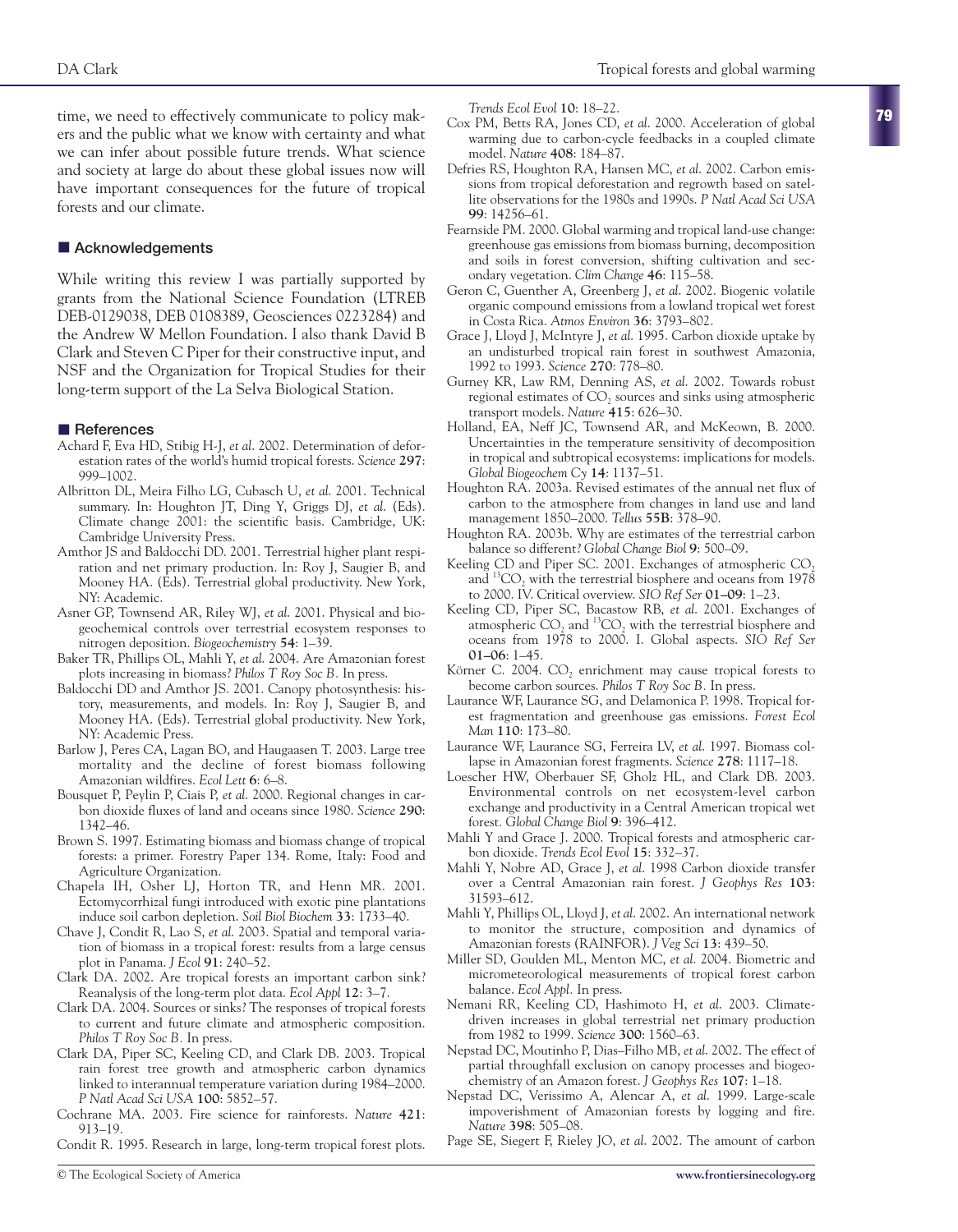time, we need to effectively communicate to policy makers and the public what we know with certainty and what we can infer about possible future trends. What science and society at large do about these global issues now will have important consequences for the future of tropical forests and our climate.

## ■ Acknowledgements

While writing this review I was partially supported by grants from the National Science Foundation (LTREB DEB-0129038, DEB 0108389, Geosciences 0223284) and the Andrew W Mellon Foundation. I also thank David B Clark and Steven C Piper for their constructive input, and NSF and the Organization for Tropical Studies for their long-term support of the La Selva Biological Station.

## - **References**

- Achard F, Eva HD, Stibig H-J, *et al*. 2002. Determination of deforestation rates of the world's humid tropical forests. *Science* **297**: 999–1002.
- Albritton DL, Meira Filho LG, Cubasch U, *et al*. 2001. Technical summary. In: Houghton JT, Ding Y, Griggs DJ, *et al*. (Eds). Climate change 2001: the scientific basis. Cambridge, UK: Cambridge University Press.
- Amthor JS and Baldocchi DD. 2001. Terrestrial higher plant respiration and net primary production. In: Roy J, Saugier B, and Mooney HA. (Eds). Terrestrial global productivity. New York, NY: Academic.
- Asner GP, Townsend AR, Riley WJ, *et al*. 2001. Physical and biogeochemical controls over terrestrial ecosystem responses to nitrogen deposition. *Biogeochemistry* **54**: 1–39.
- Baker TR, Phillips OL, Mahli Y, *et al*. 2004. Are Amazonian forest plots increasing in biomass? *Philos T Roy Soc B.* In press.
- Baldocchi DD and Amthor JS. 2001. Canopy photosynthesis: history, measurements, and models. In: Roy J, Saugier B, and Mooney HA. (Eds). Terrestrial global productivity. New York, NY: Academic Press.
- Barlow J, Peres CA, Lagan BO, and Haugaasen T. 2003. Large tree mortality and the decline of forest biomass following Amazonian wildfires. *Ecol Lett* **6**: 6–8.
- Bousquet P, Peylin P, Ciais P, *et al*. 2000. Regional changes in carbon dioxide fluxes of land and oceans since 1980. *Science* **290**: 1342–46.
- Brown S. 1997. Estimating biomass and biomass change of tropical forests: a primer. Forestry Paper 134. Rome, Italy: Food and Agriculture Organization.
- Chapela IH, Osher LJ, Horton TR, and Henn MR. 2001. Ectomycorrhizal fungi introduced with exotic pine plantations induce soil carbon depletion. *Soil Biol Biochem* **33**: 1733–40.
- Chave J, Condit R, Lao S, *et al*. 2003. Spatial and temporal variation of biomass in a tropical forest: results from a large census plot in Panama. *J Ecol* **91**: 240–52.
- Clark DA. 2002. Are tropical forests an important carbon sink? Reanalysis of the long-term plot data. *Ecol Appl* **12**: 3–7.
- Clark DA. 2004. Sources or sinks? The responses of tropical forests to current and future climate and atmospheric composition. *Philos T Roy Soc B.* In press.
- Clark DA, Piper SC, Keeling CD, and Clark DB. 2003. Tropical rain forest tree growth and atmospheric carbon dynamics linked to interannual temperature variation during 1984–2000. *P Natl Acad Sci USA* **100**: 5852–57.

Cochrane MA. 2003. Fire science for rainforests. *Nature* **421**: 913–19.

Condit R. 1995. Research in large, long-term tropical forest plots.

*Trends Ecol Evol* **10**: 18–22.

- Cox PM, Betts RA, Jones CD, *et al*. 2000. Acceleration of global warming due to carbon-cycle feedbacks in a coupled climate model. *Nature* **408**: 184–87.
- Defries RS, Houghton RA, Hansen MC, *et al*. 2002. Carbon emissions from tropical deforestation and regrowth based on satellite observations for the 1980s and 1990s. *P Natl Acad Sci USA* **99**: 14256–61.
- Fearnside PM. 2000. Global warming and tropical land-use change: greenhouse gas emissions from biomass burning, decomposition and soils in forest conversion, shifting cultivation and secondary vegetation. *Clim Change* **46**: 115–58.
- Geron C, Guenther A, Greenberg J, *et al*. 2002. Biogenic volatile organic compound emissions from a lowland tropical wet forest in Costa Rica. *Atmos Environ* **36**: 3793–802.
- Grace J, Lloyd J, McIntyre J, *et al*. 1995. Carbon dioxide uptake by an undisturbed tropical rain forest in southwest Amazonia, 1992 to 1993. *Science* **270**: 778–80.
- Gurney KR, Law RM, Denning AS, *et al*. 2002. Towards robust regional estimates of  $CO<sub>2</sub>$  sources and sinks using atmospheric transport models. *Nature* **415**: 626–30.
- Holland, EA, Neff JC, Townsend AR, and McKeown, B. 2000. Uncertainties in the temperature sensitivity of decomposition in tropical and subtropical ecosystems: implications for models. *Global Biogeochem Cy* **14**: 1137–51.
- Houghton RA. 2003a. Revised estimates of the annual net flux of carbon to the atmosphere from changes in land use and land management 1850–2000. *Tellus* **55B**: 378–90.
- Houghton RA. 2003b. Why are estimates of the terrestrial carbon balance so different? *Global Change Biol* **9**: 500–09.
- Keeling CD and Piper SC. 2001. Exchanges of atmospheric  $CO<sub>2</sub>$ and <sup>13</sup>CO<sub>2</sub> with the terrestrial biosphere and oceans from 1978 to 2000. IV. Critical overview. *SIO Ref Ser* **01–09**: 1–23.
- Keeling CD, Piper SC, Bacastow RB, *et al*. 2001. Exchanges of atmospheric  $CO_2$  and  ${}^{13}CO_2$  with the terrestrial biosphere and oceans from 1978 to 2000. I. Global aspects. *SIO Ref Ser* **01–06**: 1–45.
- Körner C. 2004.  $CO<sub>2</sub>$  enrichment may cause tropical forests to become carbon sources. *Philos T Roy Soc B.* In press.
- Laurance WF, Laurance SG, and Delamonica P. 1998. Tropical forest fragmentation and greenhouse gas emissions. *Forest Ecol Man* **110**: 173–80.
- Laurance WF, Laurance SG, Ferreira LV, *et al*. 1997. Biomass collapse in Amazonian forest fragments. *Science* **278**: 1117–18.
- Loescher HW, Oberbauer SF, Gholz HL, and Clark DB. 2003. Environmental controls on net ecosystem-level carbon exchange and productivity in a Central American tropical wet forest. *Global Change Biol* **9**: 396–412.
- Mahli Y and Grace J. 2000. Tropical forests and atmospheric carbon dioxide. *Trends Ecol Evol* **15**: 332–37.
- Mahli Y, Nobre AD, Grace J, *et al*. 1998 Carbon dioxide transfer over a Central Amazonian rain forest. *J Geophys Res* **103**: 31593–612.
- Mahli Y, Phillips OL, Lloyd J, *et al*. 2002. An international network to monitor the structure, composition and dynamics of Amazonian forests (RAINFOR). *J Veg Sci* **13**: 439–50.
- Miller SD, Goulden ML, Menton MC, *et al*. 2004. Biometric and micrometeorological measurements of tropical forest carbon balance. *Ecol Appl.* In press.
- Nemani RR, Keeling CD, Hashimoto H, *et al*. 2003. Climatedriven increases in global terrestrial net primary production from 1982 to 1999. *Science* **300**: 1560–63.
- Nepstad DC, Moutinho P, Dias–Filho MB, *et al*. 2002. The effect of partial throughfall exclusion on canopy processes and biogeochemistry of an Amazon forest. *J Geophys Res* **107**: 1–18.
- Nepstad DC, Verissimo A, Alencar A, *et al*. 1999. Large-scale impoverishment of Amazonian forests by logging and fire. *Nature* **398**: 505–08.
- Page SE, Siegert F, Rieley JO, *et al*. 2002. The amount of carbon